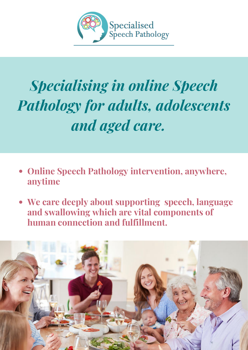

# *Specialising in online Speech Pathology for adults, adolescents and aged care.*

- **Online Speech Pathology intervention, anywhere, anytime**
- **We care deeply about supporting speech, language and swallowing which are vital components of human connection and fulfillment.**